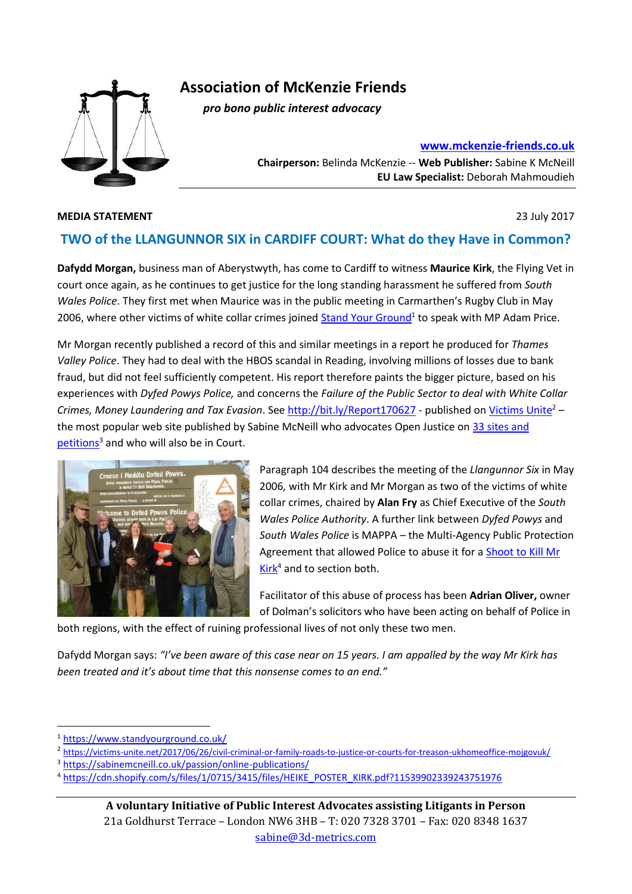

**Association of McKenzie Friends**

 *pro bono public interest advocacy*

**[www.mckenzie-friends.co.uk](http://www.mckenzie-friends.co.uk/)**

**Chairperson:** Belinda McKenzie -- **Web Publisher:** Sabine K McNeill **EU Law Specialist:** Deborah Mahmoudieh

## **MEDIA STATEMENT** 23 July 2017

## **TWO of the LLANGUNNOR SIX in CARDIFF COURT: What do they Have in Common?**

**Dafydd Morgan,** business man of Aberystwyth, has come to Cardiff to witness **Maurice Kirk**, the Flying Vet in court once again, as he continues to get justice for the long standing harassment he suffered from *South Wales Police*. They first met when Maurice was in the public meeting in Carmarthen's Rugby Club in May 2006, where other victims of white collar crimes joined [Stand Your Ground](https://www.standyourground.co.uk/)<sup>1</sup> to speak with MP Adam Price.

Mr Morgan recently published a record of this and similar meetings in a report he produced for *Thames Valley Police*. They had to deal with the HBOS scandal in Reading, involving millions of losses due to bank fraud, but did not feel sufficiently competent. His report therefore paints the bigger picture, based on his experiences with *Dyfed Powys Police,* and concerns the *Failure of the Public Sector to deal with White Collar Crimes, Money Laundering and Tax Evasion*. See<http://bit.ly/Report170627> - published o[n Victims Unite](https://victims-unite.net/2017/06/26/civil-criminal-or-family-roads-to-justice-or-courts-for-treason-ukhomeoffice-mojgovuk/)<sup>2</sup> – the most popular web site published by Sabine McNeill who advocates Open Justice on 33 sites and [petitions](https://sabinemcneill.co.uk/passion/online-publications/)<sup>3</sup> and who will also be in Court.



Paragraph 104 describes the meeting of the *Llangunnor Six* in May 2006*,* with Mr Kirk and Mr Morgan as two of the victims of white collar crimes, chaired by **Alan Fry** as Chief Executive of the *South Wales Police Authority*. A further link between *Dyfed Powys* and *South Wales Police* is MAPPA – the Multi-Agency Public Protection Agreement that allowed Police to abuse it for a [Shoot to Kill Mr](https://cdn.shopify.com/s/files/1/0715/3415/files/HEIKE_POSTER_KIRK.pdf?11539902339243751976)  [Kirk](https://cdn.shopify.com/s/files/1/0715/3415/files/HEIKE_POSTER_KIRK.pdf?11539902339243751976)<sup>4</sup> and to section both.

Facilitator of this abuse of process has been **Adrian Oliver,** owner of Dolman's solicitors who have been acting on behalf of Police in

both regions, with the effect of ruining professional lives of not only these two men.

Dafydd Morgan says: *"I've been aware of this case near on 15 years. I am appalled by the way Mr Kirk has been treated and it's about time that this nonsense comes to an end."* 

**.** 

<sup>1</sup> <https://www.standyourground.co.uk/>

<sup>&</sup>lt;sup>2</sup> <https://victims-unite.net/2017/06/26/civil-criminal-or-family-roads-to-justice-or-courts-for-treason-ukhomeoffice-mojgovuk/>

<sup>3</sup> <https://sabinemcneill.co.uk/passion/online-publications/>

<sup>4</sup> [https://cdn.shopify.com/s/files/1/0715/3415/files/HEIKE\\_POSTER\\_KIRK.pdf?11539902339243751976](https://cdn.shopify.com/s/files/1/0715/3415/files/HEIKE_POSTER_KIRK.pdf?11539902339243751976)